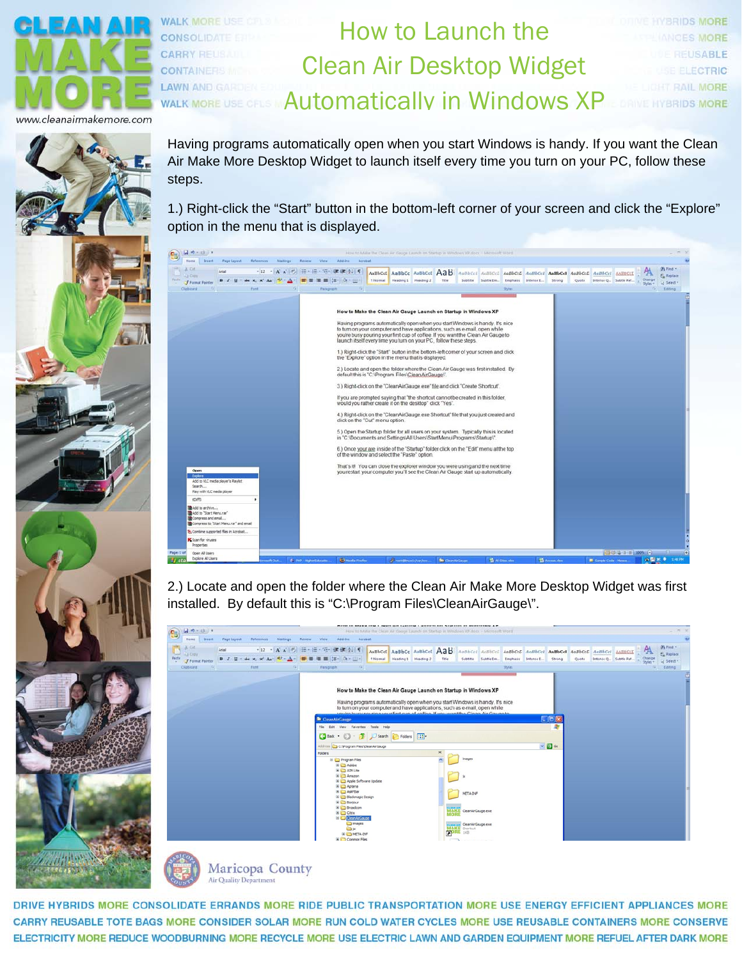

leanairmakemore.cor



Having programs automatically open when you start Windows is handy. If you want the Clean Air Make More Desktop Widget to launch itself every time you turn on your PC, follow these steps.

How to Launch the

**IVERIDS MORE** 

**HYBRIDS MORE** 

EUSABLE

**ELECTRIC** 

AIL MORE

Clean Air Desktop Widget

Automatically in Windows XP

1.) Right-click the "Start" button in the bottom-left corner of your screen and click the "Explore" option in the menu that is displayed.



2.) Locate and open the folder where the Clean Air Make More Desktop Widget was first installed. By default this is "C:\Program Files\CleanAirGauge\".



Maricopa County **Air Quality Department** 

DRIVE HYBRIDS MORE CONSOLIDATE ERRANDS MORE RIDE PUBLIC TRANSPORTATION MORE USE ENERGY EFFICIENT APPLIANCES MORE CARRY REUSABLE TOTE BAGS MORE CONSIDER SOLAR MORE RUN COLD WATER CYCLES MORE USE REUSABLE CONTAINERS MORE CONSERVE ELECTRICITY MORE REDUCE WOODBURNING MORE RECYCLE MORE USE ELECTRIC LAWN AND GARDEN EQUIPMENT MORE REFUEL AFTER DARK MORE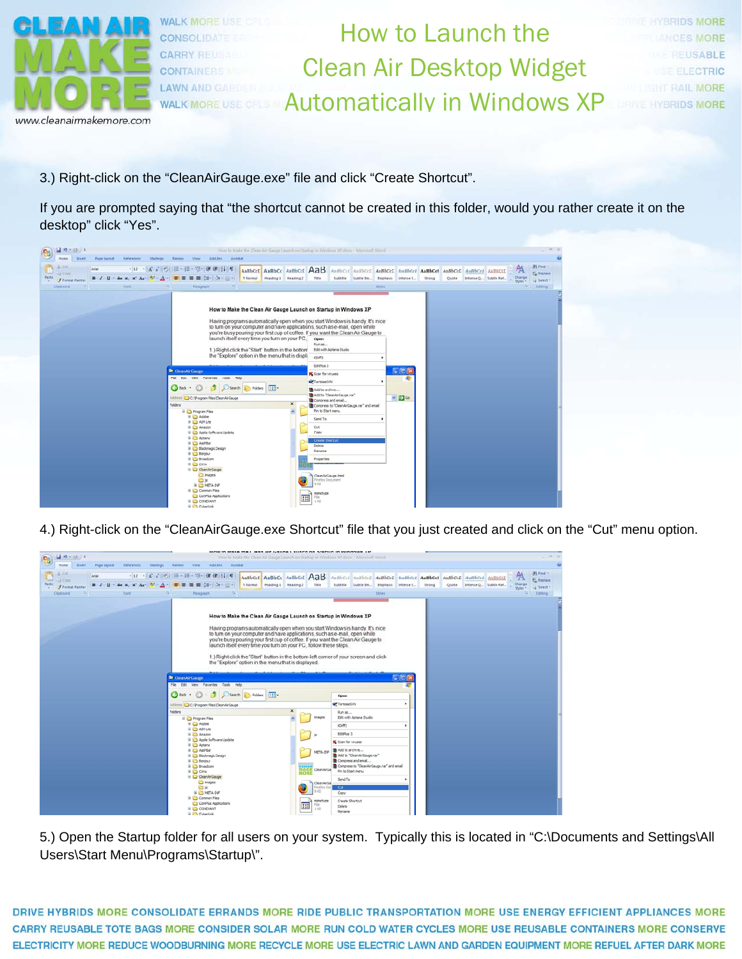

www.cleanairmakemore.com

How to Launch the Clean Air Desktop Widget Automatically in Windows XP **BRIDS MORE ISABLE ECTRIC** 

3.) Right-click on the "CleanAirGauge.exe" file and click "Create Shortcut".

**WALK MORE US!** 

CONSOLI **CARRY RE** 

**CONTAINER** 

**LAWN AND WALK MORE** 

If you are prompted saying that "the shortcut cannot be created in this folder, would you rather create it on the desktop" click "Yes".



4.) Right-click on the "CleanAirGauge.exe Shortcut" file that you just created and click on the "Cut" menu option.

| $47 - 0$<br>$\mathbf{G}_{12}$                                                                  | MONTO MERE THE LIGHT OF LAUGH LIGHTS OF STRUCK IS WIROOME AS                                                                                                                                                                                                                                                                                                                                                                                                                                                                                                                                                                                                                                                                                                                                                                                                                                                                                                                                                                                                                                                                                                              | How to Make the Clean Air Gauge Launch on Startup in Windows XP docs - Microsoft Word                                                                                                                                                                                                                                                                                                                                                                                      |                                                                                                                        |
|------------------------------------------------------------------------------------------------|---------------------------------------------------------------------------------------------------------------------------------------------------------------------------------------------------------------------------------------------------------------------------------------------------------------------------------------------------------------------------------------------------------------------------------------------------------------------------------------------------------------------------------------------------------------------------------------------------------------------------------------------------------------------------------------------------------------------------------------------------------------------------------------------------------------------------------------------------------------------------------------------------------------------------------------------------------------------------------------------------------------------------------------------------------------------------------------------------------------------------------------------------------------------------|----------------------------------------------------------------------------------------------------------------------------------------------------------------------------------------------------------------------------------------------------------------------------------------------------------------------------------------------------------------------------------------------------------------------------------------------------------------------------|------------------------------------------------------------------------------------------------------------------------|
| Mailings<br><b>Home</b><br>Insert.<br>Page Liyout<br>References                                | Add-3hs<br><b>Basicio</b><br>View<br>Acrobat                                                                                                                                                                                                                                                                                                                                                                                                                                                                                                                                                                                                                                                                                                                                                                                                                                                                                                                                                                                                                                                                                                                              |                                                                                                                                                                                                                                                                                                                                                                                                                                                                            |                                                                                                                        |
| A. OX<br>Arial<br>A Croy<br>- also x, x' As - $\frac{dy}{dx}$ - A -<br>Paste<br>Format Painter | · 12 · A & の 田· 田· 守 健康 21 年<br>AaBbCcI AaBbCc AaBbCcI AaB<br>■■■■ 第一章一<br><b>Eliamal</b> Heading I Heading 2                                                                                                                                                                                                                                                                                                                                                                                                                                                                                                                                                                                                                                                                                                                                                                                                                                                                                                                                                                                                                                                             | AaBbCcl AaBbCcL AaBbCcL AaBbCcl AaBbCcl AaBbCcL AaBbCcl AABBCCL<br>Title<br>Subtitle Subtle Em., Emphasiz Intense E.,                                                                                                                                                                                                                                                                                                                                                      | Ah Find v<br>A<br><b>AL Replace</b><br>Change<br>Strong<br>Ouste<br>Intense Q., Subtle Ref.<br>of Select -<br>$Shstr+$ |
| Cloboard<br>Ford.                                                                              | Paragraph<br>How to Make the Clean Air Gauge Launch on Startup in Windows XP<br>Having programs automatically open when you start Windows is handy. It's nice<br>to turn on your computer and have applications, such as e-mail, open while<br>you're busy pouring your first cup of coffee. If you want the Clean Air Gauge to<br>launch itself every time you turn on your PC, follow these steps.<br>1.) Right-click the 'Start' button in the bottom-left corner of your screen and click<br>the "Explore" option in the menu that is displayed.<br><sup>2</sup> CleanAirGauge<br>File Edit View Favorites Tools Help<br>Search Polders<br>G Back +<br>$\overline{\mathbf{m}}$<br>Address C C: Program Files CleanAirGauge<br>$\times$<br><b>Folders</b><br>Program Files<br><b>B</b> Ca Adobe<br><b>BIG ADYLINE</b><br><b>B C Amazon</b><br><b>El Ca Apple Software Update</b><br>B & Aptana<br><b>III</b> CD AddPSar<br><b>B</b> Blackmagic Design<br><b>B</b> C Bonjour<br>E C Broadcom<br><b>BO Catx</b><br>C CleanAirGauge<br>images<br><b>D</b> st<br><b>IN COMETA-DIP</b><br><b>E Common Files</b><br>ComPlus Applications<br>E CONDUNT<br><b>El CyberLink</b> | Shites<br>□回2<br>Open<br><b>APTortoiseSVN</b><br>٠<br>Run as<br>Edit with Aptana Studio<br>images<br>KD/FD<br>EditPlus 3<br><b>K</b> Scan for viruses<br>Add to anchive<br>META-DIF<br>Add to "CleanAirGauge.rar"<br>Compress and email<br>Compress to "CleanAirGauge.rar" and email<br>MAKE<br>CleanAirGa<br>Pin to Start menu<br>MOR<br>Send To<br>CleanAirGa<br>Firefox Do<br>Cut<br>913<br>Copy<br>mimetype<br>Create Shortcut<br>99<br>Fle<br>Delete<br>100<br>Rename | Editing<br>5                                                                                                           |

5.) Open the Startup folder for all users on your system. Typically this is located in "C:\Documents and Settings\All Users\Start Menu\Programs\Startup\".

DRIVE HYBRIDS MORE CONSOLIDATE ERRANDS MORE RIDE PUBLIC TRANSPORTATION MORE USE ENERGY EFFICIENT APPLIANCES MORE CARRY REUSABLE TOTE BAGS MORE CONSIDER SOLAR MORE RUN COLD WATER CYCLES MORE USE REUSABLE CONTAINERS MORE CONSERVE ELECTRICITY MORE REDUCE WOODBURNING MORE RECYCLE MORE USE ELECTRIC LAWN AND GARDEN EQUIPMENT MORE REFUEL AFTER DARK MORE